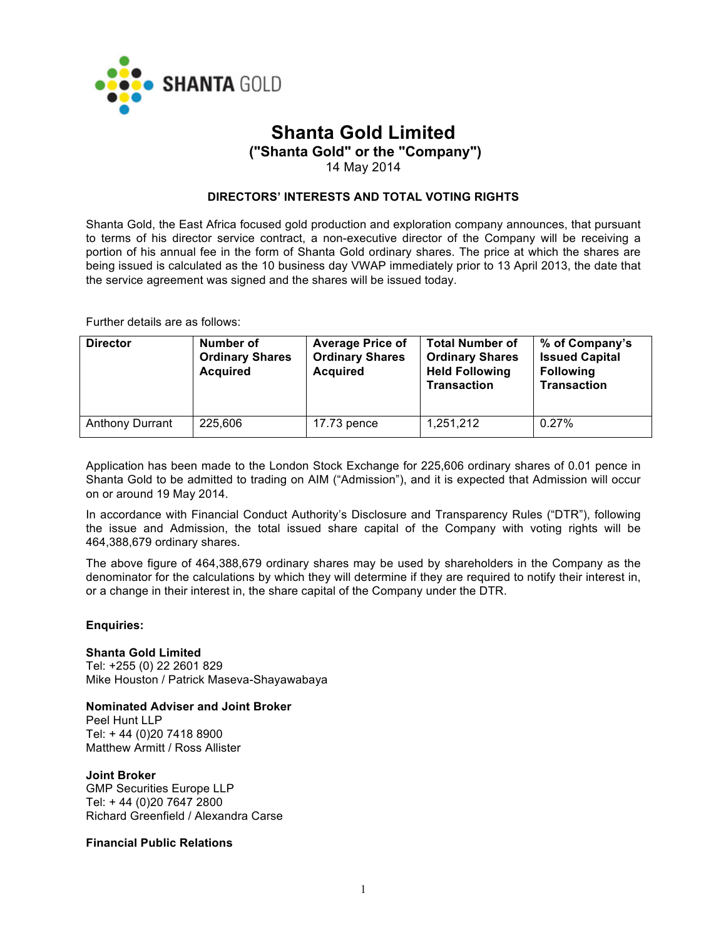

# **Shanta Gold Limited**

**("Shanta Gold" or the "Company")**

14 May 2014

#### **DIRECTORS' INTERESTS AND TOTAL VOTING RIGHTS**

Shanta Gold, the East Africa focused gold production and exploration company announces, that pursuant to terms of his director service contract, a non-executive director of the Company will be receiving a portion of his annual fee in the form of Shanta Gold ordinary shares. The price at which the shares are being issued is calculated as the 10 business day VWAP immediately prior to 13 April 2013, the date that the service agreement was signed and the shares will be issued today.

Further details are as follows:

| <b>Director</b>        | Number of<br><b>Ordinary Shares</b><br><b>Acquired</b> | <b>Average Price of</b><br><b>Ordinary Shares</b><br><b>Acquired</b> | <b>Total Number of</b><br><b>Ordinary Shares</b><br><b>Held Following</b><br><b>Transaction</b> | % of Company's<br><b>Issued Capital</b><br><b>Following</b><br><b>Transaction</b> |
|------------------------|--------------------------------------------------------|----------------------------------------------------------------------|-------------------------------------------------------------------------------------------------|-----------------------------------------------------------------------------------|
| <b>Anthony Durrant</b> | 225,606                                                | $17.73$ pence                                                        | 1,251,212                                                                                       | 0.27%                                                                             |

Application has been made to the London Stock Exchange for 225,606 ordinary shares of 0.01 pence in Shanta Gold to be admitted to trading on AIM ("Admission"), and it is expected that Admission will occur on or around 19 May 2014.

In accordance with Financial Conduct Authority's Disclosure and Transparency Rules ("DTR"), following the issue and Admission, the total issued share capital of the Company with voting rights will be 464,388,679 ordinary shares.

The above figure of 464,388,679 ordinary shares may be used by shareholders in the Company as the denominator for the calculations by which they will determine if they are required to notify their interest in, or a change in their interest in, the share capital of the Company under the DTR.

#### **Enquiries:**

#### **Shanta Gold Limited**

Tel: +255 (0) 22 2601 829 Mike Houston / Patrick Maseva-Shayawabaya

#### **Nominated Adviser and Joint Broker**

Peel Hunt LLP Tel: + 44 (0)20 7418 8900 Matthew Armitt / Ross Allister

#### **Joint Broker**

GMP Securities Europe LLP Tel: + 44 (0)20 7647 2800 Richard Greenfield / Alexandra Carse

## **Financial Public Relations**